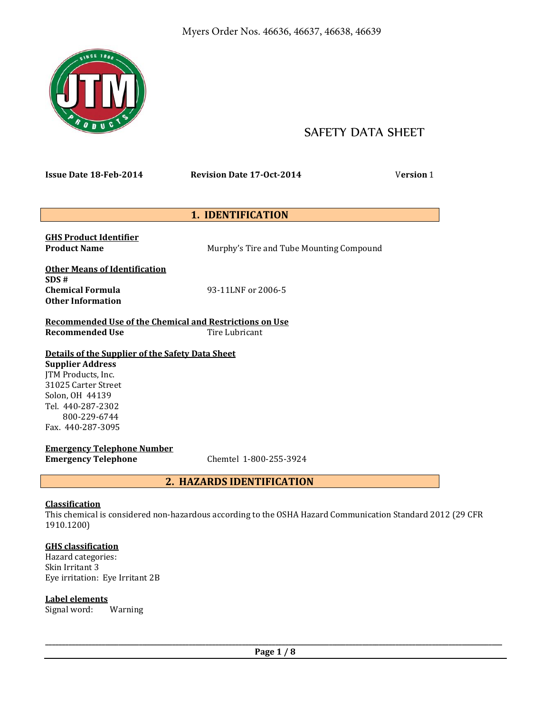

# SAFETY DATA SHEET

**Issue Date 18-Feb-2014 Revision Date 17-Oct-2014** V**ersion** 1

# **1. IDENTIFICATION**

**GHS Product Identifier** 

**Product Name Murphy's Tire and Tube Mounting Compound** 

**Other Means of Identification SDS # Chemical Formula** 93-11LNF or 2006-5 **Other Information** 

**Recommended Use of the Chemical and Restrictions on Use Recommended Use Tire Lubricant** 

# **Details of the Supplier of the Safety Data Sheet**

**Supplier Address**  JTM Products, Inc. 31025 Carter Street Solon, OH 44139 Tel. 440-287-2302 800-229-6744 Fax. 440-287-3095

**Emergency Telephone Number Emergency Telephone** Chemtel 1-800-255-3924

# **2. HAZARDS IDENTIFICATION**

# **Classification**

This chemical is considered non-hazardous according to the OSHA Hazard Communication Standard 2012 (29 CFR 1910.1200)

# **GHS classification**

Hazard categories: Skin Irritant 3 Eye irritation: Eye Irritant 2B

# **Label elements**

Signal word: Warning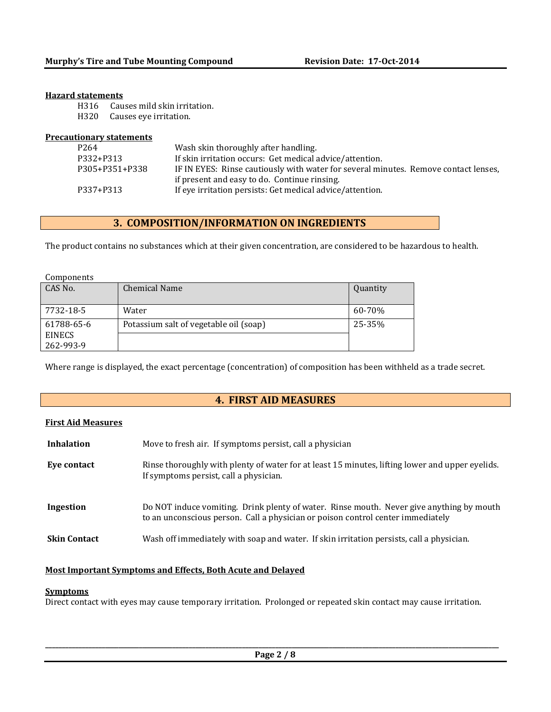#### **Hazard statements**

H316 Causes mild skin irritation.

H320 Causes eye irritation.

| <b>Precautionary statements</b> |                                                                                     |
|---------------------------------|-------------------------------------------------------------------------------------|
| P <sub>264</sub>                | Wash skin thoroughly after handling.                                                |
| P332+P313                       | If skin irritation occurs: Get medical advice/attention.                            |
| P305+P351+P338                  | IF IN EYES: Rinse cautiously with water for several minutes. Remove contact lenses, |
|                                 | if present and easy to do. Continue rinsing.                                        |
| P337+P313                       | If eye irritation persists: Get medical advice/attention.                           |

# **3. COMPOSITION/INFORMATION ON INGREDIENTS**

The product contains no substances which at their given concentration, are considered to be hazardous to health.

| Components |  |
|------------|--|
|            |  |

| CAS No.                                  | <b>Chemical Name</b>                   | Quantity |
|------------------------------------------|----------------------------------------|----------|
| 7732-18-5                                | Water                                  | 60-70%   |
| 61788-65-6<br><b>EINECS</b><br>262-993-9 | Potassium salt of vegetable oil (soap) | 25-35%   |

Where range is displayed, the exact percentage (concentration) of composition has been withheld as a trade secret.

# **4. FIRST AID MEASURES**

### **First Aid Measures**

| <b>Inhalation</b>   | Move to fresh air. If symptoms persist, call a physician                                                                                                                    |
|---------------------|-----------------------------------------------------------------------------------------------------------------------------------------------------------------------------|
| Eye contact         | Rinse thoroughly with plenty of water for at least 15 minutes, lifting lower and upper eyelids.<br>If symptoms persist, call a physician.                                   |
| Ingestion           | Do NOT induce vomiting. Drink plenty of water. Rinse mouth. Never give anything by mouth<br>to an unconscious person. Call a physician or poison control center immediately |
| <b>Skin Contact</b> | Wash off immediately with soap and water. If skin irritation persists, call a physician.                                                                                    |

### **Most Important Symptoms and Effects, Both Acute and Delayed**

#### **Symptoms**

Direct contact with eyes may cause temporary irritation. Prolonged or repeated skin contact may cause irritation.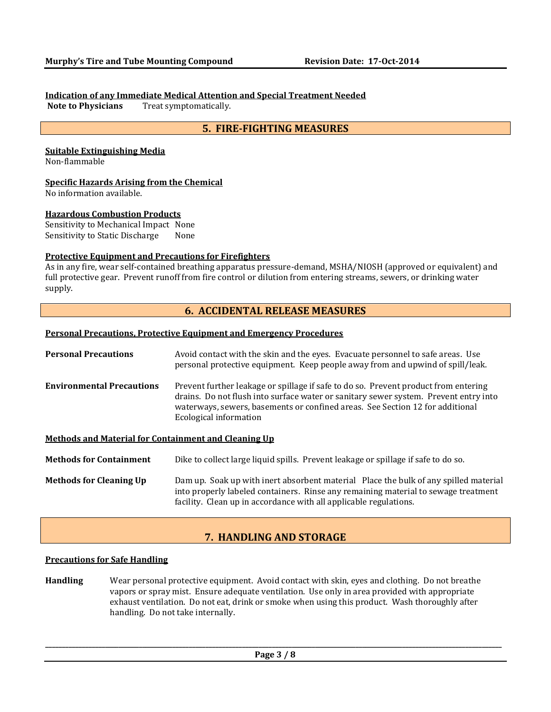#### **Indication of any Immediate Medical Attention and Special Treatment Needed**

**Note to Physicians** Treat symptomatically.

# **5. FIRE-FIGHTING MEASURES**

### **Suitable Extinguishing Media**

Non-flammable

#### **Specific Hazards Arising from the Chemical**

No information available.

#### **Hazardous Combustion Products**

Sensitivity to Mechanical Impact None Sensitivity to Static Discharge None

#### **Protective Equipment and Precautions for Firefighters**

As in any fire, wear self-contained breathing apparatus pressure-demand, MSHA/NIOSH (approved or equivalent) and full protective gear. Prevent runoff from fire control or dilution from entering streams, sewers, or drinking water supply.

### **6. ACCIDENTAL RELEASE MEASURES**

#### **Personal Precautions, Protective Equipment and Emergency Procedures**

| <b>Personal Precautions</b>                                 | Avoid contact with the skin and the eyes. Evacuate personnel to safe areas. Use<br>personal protective equipment. Keep people away from and upwind of spill/leak.                                                                                                                      |
|-------------------------------------------------------------|----------------------------------------------------------------------------------------------------------------------------------------------------------------------------------------------------------------------------------------------------------------------------------------|
| <b>Environmental Precautions</b>                            | Prevent further leakage or spillage if safe to do so. Prevent product from entering<br>drains. Do not flush into surface water or sanitary sewer system. Prevent entry into<br>waterways, sewers, basements or confined areas. See Section 12 for additional<br>Ecological information |
| <b>Methods and Material for Containment and Cleaning Up</b> |                                                                                                                                                                                                                                                                                        |
| <b>Methods for Containment</b>                              | Dike to collect large liquid spills. Prevent leakage or spillage if safe to do so.                                                                                                                                                                                                     |
| <b>Methods for Cleaning Up</b>                              | Dam up. Soak up with inert absorbent material Place the bulk of any spilled material<br>into properly labeled containers. Rinse any remaining material to sewage treatment<br>facility. Clean up in accordance with all applicable regulations.                                        |

# **7. HANDLING AND STORAGE**

#### **Precautions for Safe Handling**

**Handling** Wear personal protective equipment. Avoid contact with skin, eyes and clothing. Do not breathe vapors or spray mist. Ensure adequate ventilation. Use only in area provided with appropriate exhaust ventilation. Do not eat, drink or smoke when using this product. Wash thoroughly after handling. Do not take internally.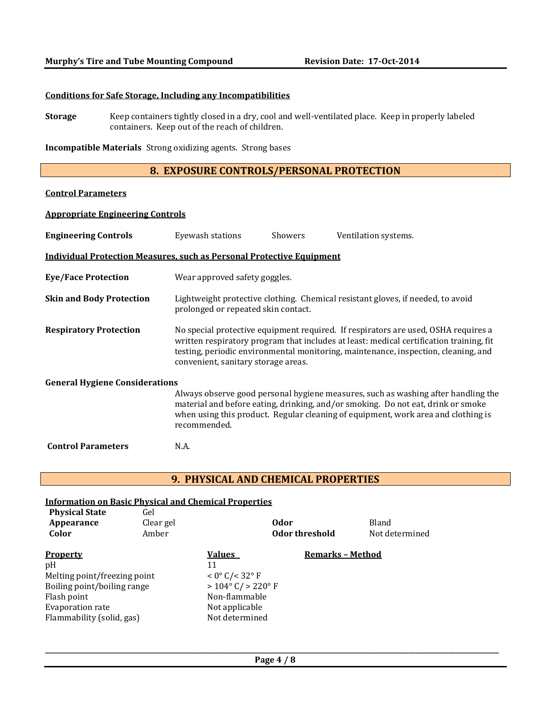#### **Conditions for Safe Storage, Including any Incompatibilities**

**Storage** Keep containers tightly closed in a dry, cool and well-ventilated place. Keep in properly labeled containers. Keep out of the reach of children.

**Incompatible Materials** Strong oxidizing agents. Strong bases

# **8. EXPOSURE CONTROLS/PERSONAL PROTECTION**

# **Control Parameters**

#### **Appropriate Engineering Controls**

| <b>Engineering Controls</b>           | Eyewash stations                                                                                                                                                                                                                                                                                           | Showers | Ventilation systems.                                                                                                                                                                                                                                       |  |  |  |  |
|---------------------------------------|------------------------------------------------------------------------------------------------------------------------------------------------------------------------------------------------------------------------------------------------------------------------------------------------------------|---------|------------------------------------------------------------------------------------------------------------------------------------------------------------------------------------------------------------------------------------------------------------|--|--|--|--|
|                                       | <b>Individual Protection Measures, such as Personal Protective Equipment</b>                                                                                                                                                                                                                               |         |                                                                                                                                                                                                                                                            |  |  |  |  |
| <b>Eye/Face Protection</b>            | Wear approved safety goggles.                                                                                                                                                                                                                                                                              |         |                                                                                                                                                                                                                                                            |  |  |  |  |
| <b>Skin and Body Protection</b>       | Lightweight protective clothing. Chemical resistant gloves, if needed, to avoid<br>prolonged or repeated skin contact.                                                                                                                                                                                     |         |                                                                                                                                                                                                                                                            |  |  |  |  |
| <b>Respiratory Protection</b>         | No special protective equipment required. If respirators are used, OSHA requires a<br>written respiratory program that includes at least: medical certification training, fit<br>testing, periodic environmental monitoring, maintenance, inspection, cleaning, and<br>convenient, sanitary storage areas. |         |                                                                                                                                                                                                                                                            |  |  |  |  |
| <b>General Hygiene Considerations</b> |                                                                                                                                                                                                                                                                                                            |         |                                                                                                                                                                                                                                                            |  |  |  |  |
|                                       | recommended.                                                                                                                                                                                                                                                                                               |         | Always observe good personal hygiene measures, such as washing after handling the<br>material and before eating, drinking, and/or smoking. Do not eat, drink or smoke<br>when using this product. Regular cleaning of equipment, work area and clothing is |  |  |  |  |
| <b>Control Parameters</b>             | N.A.                                                                                                                                                                                                                                                                                                       |         |                                                                                                                                                                                                                                                            |  |  |  |  |

# **9. PHYSICAL AND CHEMICAL PROPERTIES**

#### **Information on Basic Physical and Chemical Properties Physical State** Gel

| Appearance<br>Color          | Clear gel<br>Amber |                                      | <b>Odor</b><br>Odor threshold | Bland<br>Not determined |
|------------------------------|--------------------|--------------------------------------|-------------------------------|-------------------------|
| <b>Property</b>              |                    | <b>Values</b>                        | <b>Remarks - Method</b>       |                         |
| pH                           |                    | 11                                   |                               |                         |
| Melting point/freezing point |                    | $< 0^{\circ}$ C/ $< 32^{\circ}$ F    |                               |                         |
| Boiling point/boiling range  |                    | $> 104^{\circ}$ C/ $> 220^{\circ}$ F |                               |                         |
| Flash point                  |                    | Non-flammable                        |                               |                         |
| <b>Evaporation rate</b>      |                    | Not applicable                       |                               |                         |
| Flammability (solid, gas)    |                    | Not determined                       |                               |                         |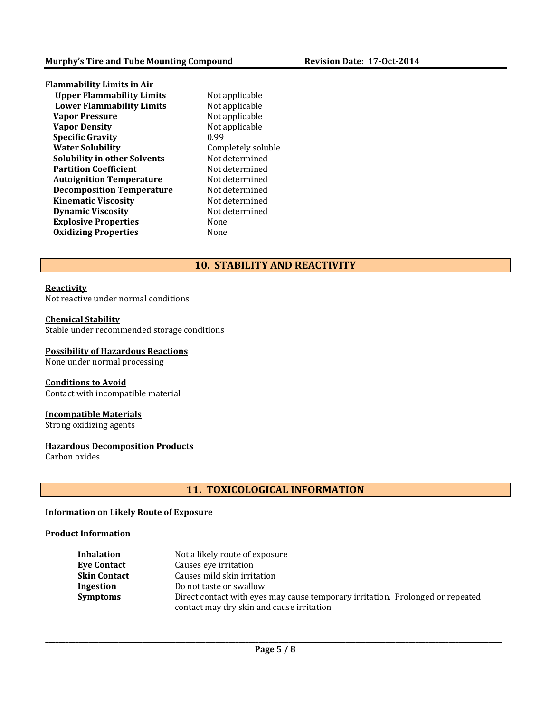| <b>Flammability Limits in Air</b>   |       |
|-------------------------------------|-------|
| <b>Upper Flammability Limits</b>    | Not a |
| <b>Lower Flammability Limits</b>    | Not a |
| <b>Vapor Pressure</b>               | Not a |
| <b>Vapor Density</b>                | Not a |
| <b>Specific Gravity</b>             | 0.99  |
| <b>Water Solubility</b>             | Comp  |
| <b>Solubility in other Solvents</b> | Not d |
| <b>Partition Coefficient</b>        | Not d |
| <b>Autoignition Temperature</b>     | Not d |
| <b>Decomposition Temperature</b>    | Not d |
| <b>Kinematic Viscosity</b>          | Not d |
| <b>Dynamic Viscosity</b>            | Not d |
| <b>Explosive Properties</b>         | None  |
| <b>Oxidizing Properties</b>         | None  |
|                                     |       |

applicable applicable applicable applicable mpletely soluble  $d$ etermined determined determined determined determined determined

# **10. STABILITY AND REACTIVITY**

#### **Reactivity**

Not reactive under normal conditions

#### **Chemical Stability**

Stable under recommended storage conditions

# **Possibility of Hazardous Reactions**

None under normal processing

# **Conditions to Avoid**

Contact with incompatible material

# **Incompatible Materials**

Strong oxidizing agents

# **Hazardous Decomposition Products**

Carbon oxides

# **11. TOXICOLOGICAL INFORMATION**

#### **Information on Likely Route of Exposure**

#### **Product Information**

| <b>Inhalation</b>   | Not a likely route of exposure                                                 |
|---------------------|--------------------------------------------------------------------------------|
| <b>Eve Contact</b>  | Causes eve irritation                                                          |
| <b>Skin Contact</b> | Causes mild skin irritation                                                    |
| Ingestion           | Do not taste or swallow                                                        |
| <b>Symptoms</b>     | Direct contact with eyes may cause temporary irritation. Prolonged or repeated |
|                     | contact may dry skin and cause irritation                                      |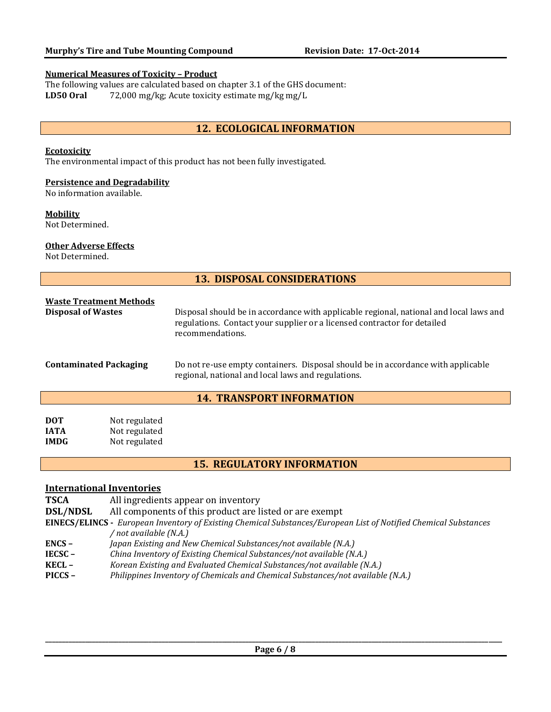#### **Numerical Measures of Toxicity – Product**

The following values are calculated based on chapter 3.1 of the GHS document: **LD50 Oral** 72,000 mg/kg; Acute toxicity estimate mg/kg mg/L

# **12. ECOLOGICAL INFORMATION**

#### **Ecotoxicity**

The environmental impact of this product has not been fully investigated.

#### **Persistence and Degradability**

No information available.

#### **Mobility**

Not Determined.

#### **Other Adverse Effects**

Not Determined.

| <b>13. DISPOSAL CONSIDERATIONS</b>                          |                                                 |                                                                                                                                                                                        |  |  |
|-------------------------------------------------------------|-------------------------------------------------|----------------------------------------------------------------------------------------------------------------------------------------------------------------------------------------|--|--|
| <b>Waste Treatment Methods</b><br><b>Disposal of Wastes</b> |                                                 | Disposal should be in accordance with applicable regional, national and local laws and<br>regulations. Contact your supplier or a licensed contractor for detailed<br>recommendations. |  |  |
| <b>Contaminated Packaging</b>                               |                                                 | Do not re-use empty containers. Disposal should be in accordance with applicable<br>regional, national and local laws and regulations.                                                 |  |  |
|                                                             |                                                 | <b>14. TRANSPORT INFORMATION</b>                                                                                                                                                       |  |  |
| <b>DOT</b><br><b>IATA</b><br><b>IMDG</b>                    | Not regulated<br>Not regulated<br>Not regulated |                                                                                                                                                                                        |  |  |
|                                                             |                                                 | <b>15. REGULATORY INFORMATION</b>                                                                                                                                                      |  |  |

### **International Inventories**

**TSCA** All ingredients appear on inventory

**DSL/NDSL** All components of this product are listed or are exempt

- **EINECS/ELINCS -** *European Inventory of Existing Chemical Substances/European List of Notified Chemical Substances / not available (N.A.)*
	-
- **ENCS –** *Japan Existing and New Chemical Substances/not available (N.A.)* **IECSC –** *China Inventory of Existing Chemical Substances/not available (N.A.)*
- 
- **KECL –** *Korean Existing and Evaluated Chemical Substances/not available (N.A.)*
- **PICCS –** *Philippines Inventory of Chemicals and Chemical Substances/not available (N.A.)*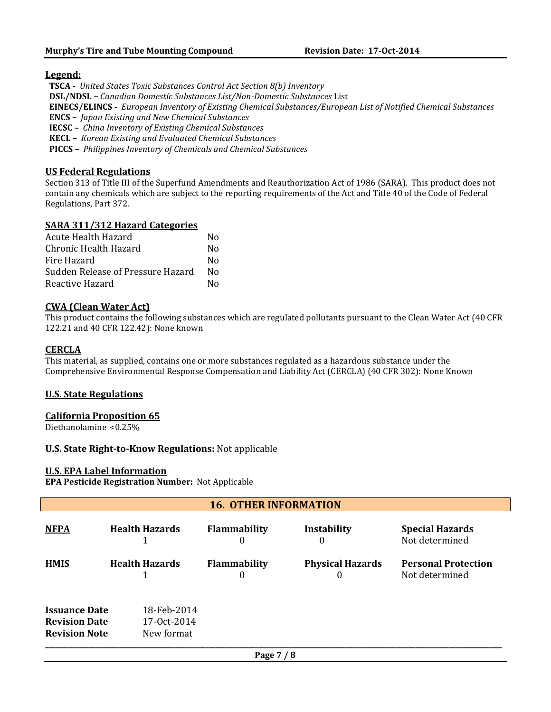# **Legend:**

 **TSCA -** *United States Toxic Substances Control Act Section 8(b) Inventory*  **DSL/NDSL –** *Canadian Domestic Substances List/Non-Domestic Substances* List  **EINECS/ELINCS -** *European Inventory of Existing Chemical Substances/European List of Notified Chemical Substances*  **ENCS –** *Japan Existing and New Chemical Substances*  **IECSC –** *China Inventory of Existing Chemical Substances*  **KECL –** *Korean Existing and Evaluated Chemical Substances*  **PICCS –** *Philippines Inventory of Chemicals and Chemical Substances*

# **US Federal Regulations**

Section 313 of Title III of the Superfund Amendments and Reauthorization Act of 1986 (SARA). This product does not contain any chemicals which are subject to the reporting requirements of the Act and Title 40 of the Code of Federal Regulations, Part 372.

# **SARA 311/312 Hazard Categories**

| Acute Health Hazard               | N٥ |
|-----------------------------------|----|
| Chronic Health Hazard             | N٥ |
| Fire Hazard                       | N٥ |
| Sudden Release of Pressure Hazard | N٥ |
| Reactive Hazard                   | N٥ |

# **CWA (Clean Water Act)**

This product contains the following substances which are regulated pollutants pursuant to the Clean Water Act (40 CFR 122.21 and 40 CFR 122.42): None known

# **CERCLA**

This material, as supplied, contains one or more substances regulated as a hazardous substance under the Comprehensive Environmental Response Compensation and Liability Act (CERCLA) (40 CFR 302): None Known

# **U.S. State Regulations**

# **California Proposition 65**

Diethanolamine <0.25%

# **U.S. State Right-to-Know Regulations:** Not applicable

# **U.S. EPA Label Information**

**EPA Pesticide Registration Number:** Not Applicable

| <b>16. OTHER INFORMATION</b>                                         |  |                                          |                          |                              |                                              |
|----------------------------------------------------------------------|--|------------------------------------------|--------------------------|------------------------------|----------------------------------------------|
| <b>NFPA</b>                                                          |  | <b>Health Hazards</b>                    | <b>Flammability</b><br>0 | <b>Instability</b><br>0      | <b>Special Hazards</b><br>Not determined     |
| <b>HMIS</b>                                                          |  | <b>Health Hazards</b>                    | <b>Flammability</b><br>0 | <b>Physical Hazards</b><br>0 | <b>Personal Protection</b><br>Not determined |
| <b>Issuance Date</b><br><b>Revision Date</b><br><b>Revision Note</b> |  | 18-Feb-2014<br>17-0ct-2014<br>New format |                          |                              |                                              |
|                                                                      |  |                                          | Page 7 / 8               |                              |                                              |